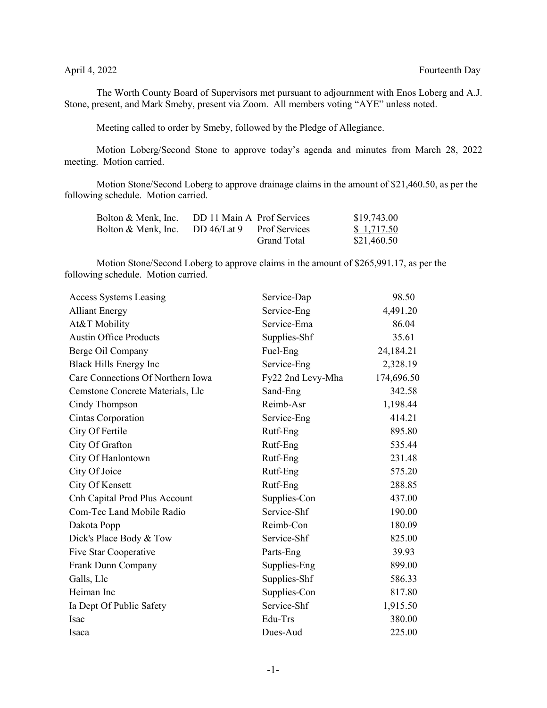The Worth County Board of Supervisors met pursuant to adjournment with Enos Loberg and A.J. Stone, present, and Mark Smeby, present via Zoom. All members voting "AYE" unless noted.

Meeting called to order by Smeby, followed by the Pledge of Allegiance.

Motion Loberg/Second Stone to approve today's agenda and minutes from March 28, 2022 meeting. Motion carried.

Motion Stone/Second Loberg to approve drainage claims in the amount of \$21,460.50, as per the following schedule. Motion carried.

| Bolton & Menk, Inc. | DD 11 Main A Prof Services |                      | \$19,743.00 |
|---------------------|----------------------------|----------------------|-------------|
| Bolton & Menk, Inc. | DD 46/Lat 9                | <b>Prof Services</b> | \$1,717.50  |
|                     |                            | Grand Total          | \$21,460.50 |

Motion Stone/Second Loberg to approve claims in the amount of \$265,991.17, as per the following schedule. Motion carried.

| <b>Access Systems Leasing</b>     | Service-Dap       | 98.50      |
|-----------------------------------|-------------------|------------|
| <b>Alliant Energy</b>             | Service-Eng       | 4,491.20   |
| At&T Mobility                     | Service-Ema       | 86.04      |
| <b>Austin Office Products</b>     | Supplies-Shf      | 35.61      |
| Berge Oil Company                 | Fuel-Eng          | 24,184.21  |
| <b>Black Hills Energy Inc</b>     | Service-Eng       | 2,328.19   |
| Care Connections Of Northern Iowa | Fy22 2nd Levy-Mha | 174,696.50 |
| Cemstone Concrete Materials, Llc  | Sand-Eng          | 342.58     |
| Cindy Thompson                    | Reimb-Asr         | 1,198.44   |
| Cintas Corporation                | Service-Eng       | 414.21     |
| City Of Fertile                   | Rutf-Eng          | 895.80     |
| City Of Grafton                   | Rutf-Eng          | 535.44     |
| City Of Hanlontown                | Rutf-Eng          | 231.48     |
| City Of Joice                     | Rutf-Eng          | 575.20     |
| City Of Kensett                   | Rutf-Eng          | 288.85     |
| Cnh Capital Prod Plus Account     | Supplies-Con      | 437.00     |
| Com-Tec Land Mobile Radio         | Service-Shf       | 190.00     |
| Dakota Popp                       | Reimb-Con         | 180.09     |
| Dick's Place Body & Tow           | Service-Shf       | 825.00     |
| Five Star Cooperative             | Parts-Eng         | 39.93      |
| Frank Dunn Company                | Supplies-Eng      | 899.00     |
| Galls, Llc                        | Supplies-Shf      | 586.33     |
| Heiman Inc                        | Supplies-Con      | 817.80     |
| Ia Dept Of Public Safety          | Service-Shf       | 1,915.50   |
| Isac                              | Edu-Trs           | 380.00     |
| Isaca                             | Dues-Aud          | 225.00     |